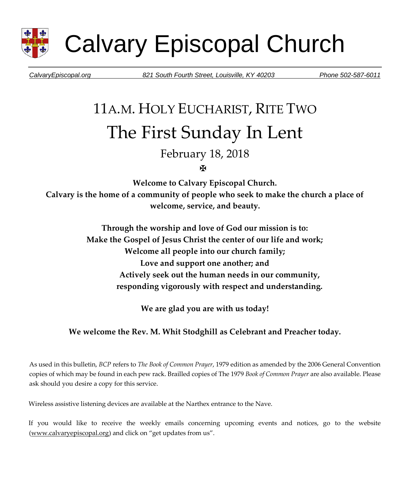

Calvary Episcopal Church

*CalvaryEpiscopal.org 821 South Fourth Street, Louisville, KY 40203 Phone 502-587-6011* 

# 11A.M. HOLY EUCHARIST, RITE TWO The First Sunday In Lent

February 18, 2018

ж

**Welcome to Calvary Episcopal Church. Calvary is the home of a community of people who seek to make the church a place of welcome, service, and beauty.** 

> **Through the worship and love of God our mission is to: Make the Gospel of Jesus Christ the center of our life and work; Welcome all people into our church family; Love and support one another; and Actively seek out the human needs in our community, responding vigorously with respect and understanding.**

> > **We are glad you are with us today!**

#### **We welcome the Rev. M. Whit Stodghill as Celebrant and Preacher today.**

As used in this bulletin, *BCP* refers to *The Book of Common Prayer*, 1979 edition as amended by the 2006 General Convention copies of which may be found in each pew rack. Brailled copies of The 1979 *Book of Common Prayer* are also available. Please ask should you desire a copy for this service.

Wireless assistive listening devices are available at the Narthex entrance to the Nave.

If you would like to receive the weekly emails concerning upcoming events and notices, go to the website [\(www.calvaryepiscopal.org\)](http://www.calvaryepiscopal.org/) and click on "get updates from us".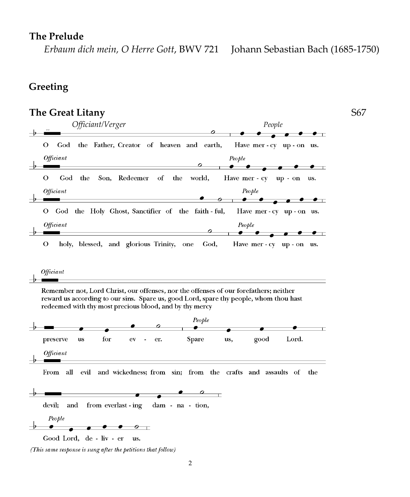# **The Prelude**

 *Erbaum dich mein, O Herre Gott*, BWV 721 Johann Sebastian Bach (1685-1750)

# **Greeting**

# **The Great Litany** S67

| Officiant/Verger                                                                                                                                                                                                                                        | People                                                                             |
|---------------------------------------------------------------------------------------------------------------------------------------------------------------------------------------------------------------------------------------------------------|------------------------------------------------------------------------------------|
| О<br>the Father, Creator of heaven and earth,<br>God<br>Officiant                                                                                                                                                                                       | Have mer-cy up-on us.<br>People                                                    |
| Redeemer<br>the<br>О<br>God<br>the<br>Son,<br>of<br>Officiant<br>God the Holy Ghost, Sanctifier of the faith ful,<br>О                                                                                                                                  | world,<br>Have mer - cy<br>$up - on$<br>us.<br>People<br>Have mer - cy up - on us. |
| Officiant                                                                                                                                                                                                                                               | People                                                                             |
| Officiant<br>Remember not, Lord Christ, our offenses, nor the offenses of our forefathers; neither<br>reward us according to our sins. Spare us, good Lord, spare thy people, whom thou hast<br>redeemed with thy most precious blood, and by thy mercy |                                                                                    |
|                                                                                                                                                                                                                                                         | People                                                                             |
| for<br>preserve<br>us<br>${\rm ev}$<br>er.<br>$\blacksquare$<br>Officiant                                                                                                                                                                               | good<br>Lord.<br><b>Spare</b><br>us,                                               |
| all<br>evil<br>From                                                                                                                                                                                                                                     | and wickedness; from sin; from the crafts and assaults of<br>the                   |
| devil;<br>and<br>from everlast - ing<br>dam - na - tion,<br>People<br>ο                                                                                                                                                                                 | $\circ$                                                                            |

<sup>(</sup>This same response is sung after the petitions that follow)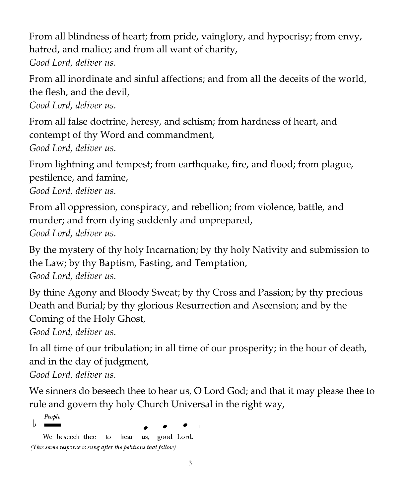From all blindness of heart; from pride, vainglory, and hypocrisy; from envy, hatred, and malice; and from all want of charity,

*Good Lord, deliver us.*

From all inordinate and sinful affections; and from all the deceits of the world, the flesh, and the devil, *Good Lord, deliver us.*

From all false doctrine, heresy, and schism; from hardness of heart, and contempt of thy Word and commandment, *Good Lord, deliver us.*

From lightning and tempest; from earthquake, fire, and flood; from plague, pestilence, and famine,

*Good Lord, deliver us.*

From all oppression, conspiracy, and rebellion; from violence, battle, and murder; and from dying suddenly and unprepared, *Good Lord, deliver us.*

By the mystery of thy holy Incarnation; by thy holy Nativity and submission to the Law; by thy Baptism, Fasting, and Temptation, *Good Lord, deliver us.*

By thine Agony and Bloody Sweat; by thy Cross and Passion; by thy precious Death and Burial; by thy glorious Resurrection and Ascension; and by the Coming of the Holy Ghost,

*Good Lord, deliver us.*

In all time of our tribulation; in all time of our prosperity; in the hour of death, and in the day of judgment, *Good Lord, deliver us.*

We sinners do beseech thee to hear us, O Lord God; and that it may please thee to rule and govern thy holy Church Universal in the right way,

People

.  $\overline{\phantom{0}}$ 

We beseech thee to hear us, good Lord. (This same response is sung after the petitions that follow)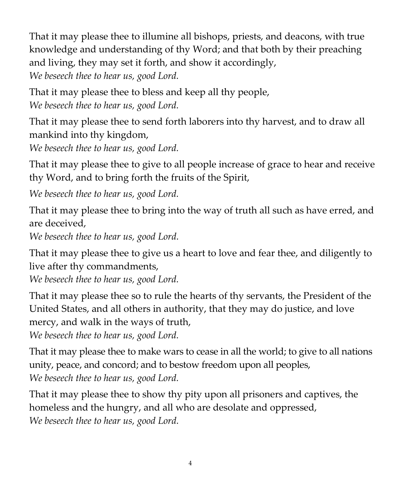That it may please thee to illumine all bishops, priests, and deacons, with true knowledge and understanding of thy Word; and that both by their preaching and living, they may set it forth, and show it accordingly, *We beseech thee to hear us, good Lord.*

That it may please thee to bless and keep all thy people, *We beseech thee to hear us, good Lord.*

That it may please thee to send forth laborers into thy harvest, and to draw all mankind into thy kingdom,

*We beseech thee to hear us, good Lord.*

That it may please thee to give to all people increase of grace to hear and receive thy Word, and to bring forth the fruits of the Spirit,

*We beseech thee to hear us, good Lord.*

That it may please thee to bring into the way of truth all such as have erred, and are deceived,

*We beseech thee to hear us, good Lord.*

That it may please thee to give us a heart to love and fear thee, and diligently to live after thy commandments,

*We beseech thee to hear us, good Lord.*

That it may please thee so to rule the hearts of thy servants, the President of the United States, and all others in authority, that they may do justice, and love mercy, and walk in the ways of truth,

*We beseech thee to hear us, good Lord.*

That it may please thee to make wars to cease in all the world; to give to all nations unity, peace, and concord; and to bestow freedom upon all peoples, *We beseech thee to hear us, good Lord.*

That it may please thee to show thy pity upon all prisoners and captives, the homeless and the hungry, and all who are desolate and oppressed, *We beseech thee to hear us, good Lord.*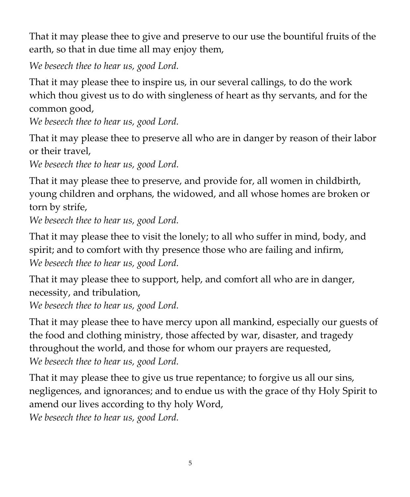That it may please thee to give and preserve to our use the bountiful fruits of the earth, so that in due time all may enjoy them,

*We beseech thee to hear us, good Lord.*

That it may please thee to inspire us, in our several callings, to do the work which thou givest us to do with singleness of heart as thy servants, and for the common good,

*We beseech thee to hear us, good Lord.*

That it may please thee to preserve all who are in danger by reason of their labor or their travel,

*We beseech thee to hear us, good Lord.*

That it may please thee to preserve, and provide for, all women in childbirth, young children and orphans, the widowed, and all whose homes are broken or torn by strife,

*We beseech thee to hear us, good Lord.*

That it may please thee to visit the lonely; to all who suffer in mind, body, and spirit; and to comfort with thy presence those who are failing and infirm, *We beseech thee to hear us, good Lord.*

That it may please thee to support, help, and comfort all who are in danger, necessity, and tribulation,

*We beseech thee to hear us, good Lord.*

That it may please thee to have mercy upon all mankind, especially our guests of the food and clothing ministry, those affected by war, disaster, and tragedy throughout the world, and those for whom our prayers are requested, *We beseech thee to hear us, good Lord.*

That it may please thee to give us true repentance; to forgive us all our sins, negligences, and ignorances; and to endue us with the grace of thy Holy Spirit to amend our lives according to thy holy Word,

*We beseech thee to hear us, good Lord.*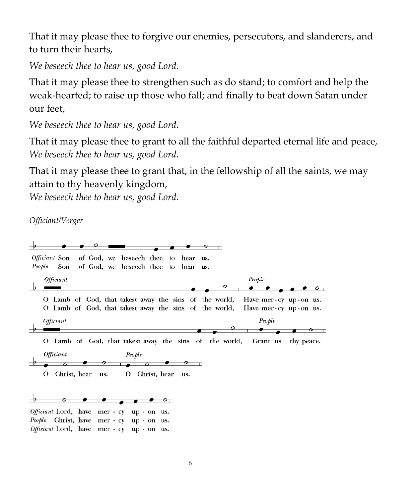That it may please thee to forgive our enemies, persecutors, and slanderers, and to turn their hearts,

*We beseech thee to hear us, good Lord.*

That it may please thee to strengthen such as do stand; to comfort and help the weak-hearted; to raise up those who fall; and finally to beat down Satan under our feet,

*We beseech thee to hear us, good Lord.*

That it may please thee to grant to all the faithful departed eternal life and peace, *We beseech thee to hear us, good Lord.*

That it may please thee to grant that, in the fellowship of all the saints, we may attain to thy heavenly kingdom,

*We beseech thee to hear us, good Lord.*

*Officiant/Verger*

 $\circ$  $\overline{\phantom{a}}$ Officiant Son of God, we beseech thee to hear us. People Son of God, we beseech thee to hear us. *Officiant* People O Lamb of God, that takest away the sins of the world, Have mer-cy up-on us. O Lamb of God, that takest away the sins of the world, Have mer-cy up-on us. Officiant People  $\bullet$   $\circ$   $\textcolor{red}{\bullet}$ O Lamb of God, that takest away the sins of the world, Grant us thy peace. Officiant People  $\rightarrow$  $\overline{a}$  $\bm{o}$  $\overline{\phantom{a}}$  $\sigma$ 0 O Christ, hear us. O Christ, hear us.  $\bullet\quad \circ_{\bot}$ Officiant Lord, have mer - cy up - on us. People Christ, have mer - cy up - on us. Officiant Lord, have mer - cy up - on us.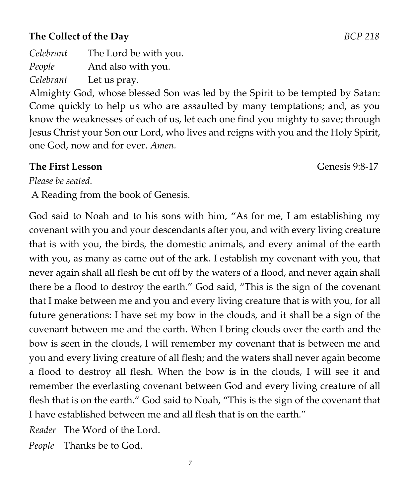# **The Collect of the Day** *BCP 218*

*Celebrant* The Lord be with you. *People* And also with you. *Celebrant* Let us pray.

Almighty God, whose blessed Son was led by the Spirit to be tempted by Satan: Come quickly to help us who are assaulted by many temptations; and, as you know the weaknesses of each of us, let each one find you mighty to save; through Jesus Christ your Son our Lord, who lives and reigns with you and the Holy Spirit, one God, now and for ever. *Amen.*

#### **The First Lesson Genesis 9:8-17**

*Please be seated.* 

A Reading from the book of Genesis.

God said to Noah and to his sons with him, "As for me, I am establishing my covenant with you and your descendants after you, and with every living creature that is with you, the birds, the domestic animals, and every animal of the earth with you, as many as came out of the ark. I establish my covenant with you, that never again shall all flesh be cut off by the waters of a flood, and never again shall there be a flood to destroy the earth." God said, "This is the sign of the covenant that I make between me and you and every living creature that is with you, for all future generations: I have set my bow in the clouds, and it shall be a sign of the covenant between me and the earth. When I bring clouds over the earth and the bow is seen in the clouds, I will remember my covenant that is between me and you and every living creature of all flesh; and the waters shall never again become a flood to destroy all flesh. When the bow is in the clouds, I will see it and remember the everlasting covenant between God and every living creature of all flesh that is on the earth." God said to Noah, "This is the sign of the covenant that I have established between me and all flesh that is on the earth."

*Reader* The Word of the Lord.

*People* Thanks be to God.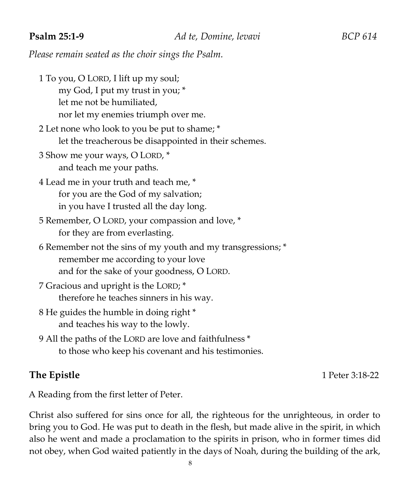*Please remain seated as the choir sings the Psalm.* 

- 1 To you, O LORD, I lift up my soul; my God, I put my trust in you; \* let me not be humiliated, nor let my enemies triumph over me.
- 2 Let none who look to you be put to shame; \* let the treacherous be disappointed in their schemes.
- 3 Show me your ways, O LORD, \* and teach me your paths.
- 4 Lead me in your truth and teach me, \* for you are the God of my salvation; in you have I trusted all the day long.
- 5 Remember, O LORD, your compassion and love, \* for they are from everlasting.
- 6 Remember not the sins of my youth and my transgressions; \* remember me according to your love and for the sake of your goodness, O LORD.
- 7 Gracious and upright is the LORD; \* therefore he teaches sinners in his way.
- 8 He guides the humble in doing right \* and teaches his way to the lowly.
- 9 All the paths of the LORD are love and faithfulness \* to those who keep his covenant and his testimonies.

**The Epistle** 1 Peter 3:18-22

A Reading from the first letter of Peter.

Christ also suffered for sins once for all, the righteous for the unrighteous, in order to bring you to God. He was put to death in the flesh, but made alive in the spirit, in which also he went and made a proclamation to the spirits in prison, who in former times did not obey, when God waited patiently in the days of Noah, during the building of the ark,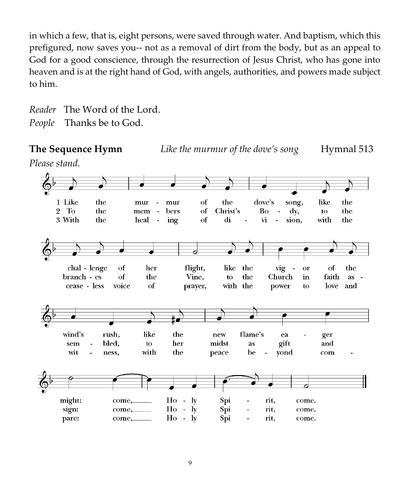in which a few, that is, eight persons, were saved through water. And baptism, which this prefigured, now saves you-- not as a removal of dirt from the body, but as an appeal to God for a good conscience, through the resurrection of Jesus Christ, who has gone into heaven and is at the right hand of God, with angels, authorities, and powers made subject to him.

*Reader* The Word of the Lord. *People* Thanks be to God.

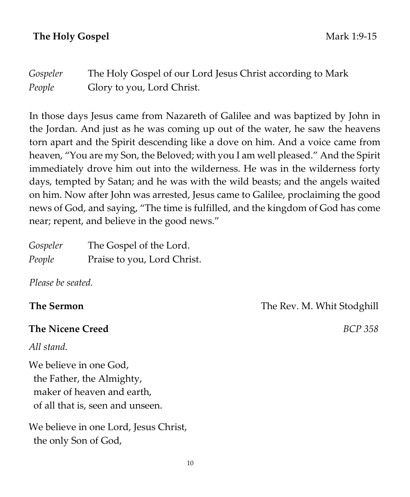### **The Holy Gospel** Mark 1:9-15

*Gospeler* The Holy Gospel of our Lord Jesus Christ according to Mark *People* Glory to you, Lord Christ.

In those days Jesus came from Nazareth of Galilee and was baptized by John in the Jordan. And just as he was coming up out of the water, he saw the heavens torn apart and the Spirit descending like a dove on him. And a voice came from heaven, "You are my Son, the Beloved; with you I am well pleased." And the Spirit immediately drove him out into the wilderness. He was in the wilderness forty days, tempted by Satan; and he was with the wild beasts; and the angels waited on him. Now after John was arrested, Jesus came to Galilee, proclaiming the good news of God, and saying, "The time is fulfilled, and the kingdom of God has come near; repent, and believe in the good news."

| Gospeler | The Gospel of the Lord.     |
|----------|-----------------------------|
| People   | Praise to you, Lord Christ. |

*Please be seated.* 

#### **The Nicene Creed** *BCP 358*

*All stand.* 

We believe in one God, the Father, the Almighty, maker of heaven and earth, of all that is, seen and unseen.

We believe in one Lord, Jesus Christ, the only Son of God,

**The Sermon The Rev. M. Whit Stodghill**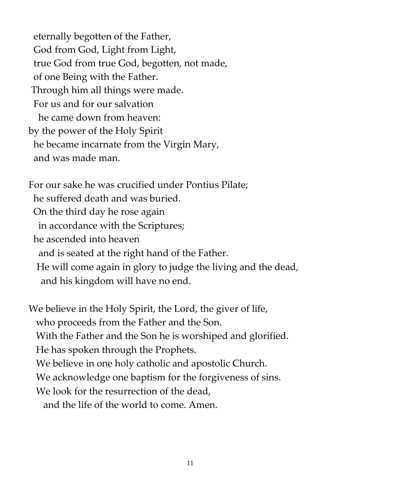eternally begotten of the Father, God from God, Light from Light, true God from true God, begotten, not made, of one Being with the Father. Through him all things were made. For us and for our salvation he came down from heaven: by the power of the Holy Spirit he became incarnate from the Virgin Mary, and was made man.

For our sake he was crucified under Pontius Pilate; he suffered death and was buried. On the third day he rose again in accordance with the Scriptures; he ascended into heaven and is seated at the right hand of the Father. He will come again in glory to judge the living and the dead, and his kingdom will have no end.

We believe in the Holy Spirit, the Lord, the giver of life, who proceeds from the Father and the Son. With the Father and the Son he is worshiped and glorified. He has spoken through the Prophets. We believe in one holy catholic and apostolic Church. We acknowledge one baptism for the forgiveness of sins. We look for the resurrection of the dead, and the life of the world to come. Amen.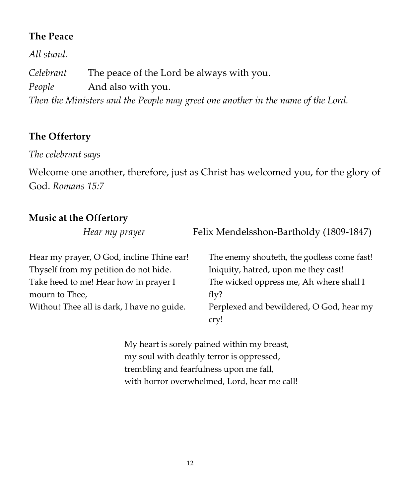#### **The Peace**

*All stand. Celebrant* The peace of the Lord be always with you. *People* And also with you. *Then the Ministers and the People may greet one another in the name of the Lord.* 

## **The Offertory**

*The celebrant says* 

Welcome one another, therefore, just as Christ has welcomed you, for the glory of God. *Romans 15:7* 

### **Music at the Offertory**

*Hear my prayer* **Felix Mendelsshon-Bartholdy (1809-1847)** 

| Hear my prayer, O God, incline Thine ear!  | The enemy shouteth, the godless come fast! |
|--------------------------------------------|--------------------------------------------|
| Thyself from my petition do not hide.      | Iniquity, hatred, upon me they cast!       |
| Take heed to me! Hear how in prayer I      | The wicked oppress me, Ah where shall I    |
| mourn to Thee,                             | fly?                                       |
| Without Thee all is dark, I have no guide. | Perplexed and bewildered, O God, hear my   |
|                                            | cry!                                       |

My heart is sorely pained within my breast, my soul with deathly terror is oppressed, trembling and fearfulness upon me fall, with horror overwhelmed, Lord, hear me call!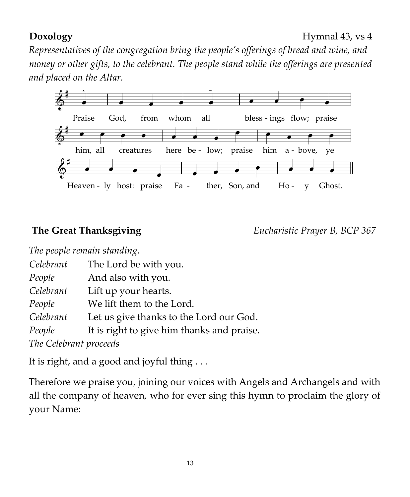#### **Doxology** Hymnal 43, vs 4

*Representatives of the congregation bring the people's offerings of bread and wine, and money or other gifts, to the celebrant. The people stand while the offerings are presented and placed on the Altar.* 



**The Great Thanksgiving** *Eucharistic Prayer B, BCP 367*

| The people remain standing. |                                            |
|-----------------------------|--------------------------------------------|
| Celebrant                   | The Lord be with you.                      |
| People                      | And also with you.                         |
| Celebrant                   | Lift up your hearts.                       |
| People                      | We lift them to the Lord.                  |
| Celebrant                   | Let us give thanks to the Lord our God.    |
| People                      | It is right to give him thanks and praise. |
| The Celebrant proceeds      |                                            |

It is right, and a good and joyful thing . . .

Therefore we praise you, joining our voices with Angels and Archangels and with all the company of heaven, who for ever sing this hymn to proclaim the glory of your Name: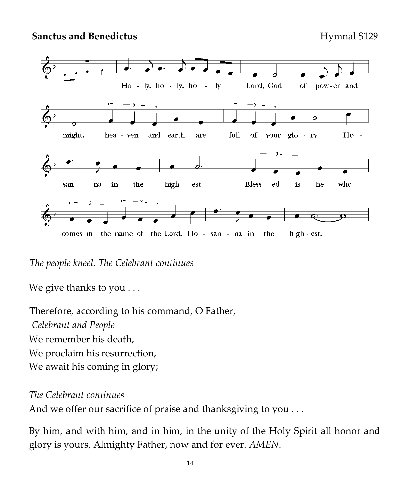**Sanctus and Benedictus Hymnal S129** 



*The people kneel. The Celebrant continues* 

We give thanks to you . . .

Therefore, according to his command, O Father, *Celebrant and People*  We remember his death, We proclaim his resurrection, We await his coming in glory;

*The Celebrant continues* 

And we offer our sacrifice of praise and thanksgiving to you ...

By him, and with him, and in him, in the unity of the Holy Spirit all honor and glory is yours, Almighty Father, now and for ever. *AMEN*.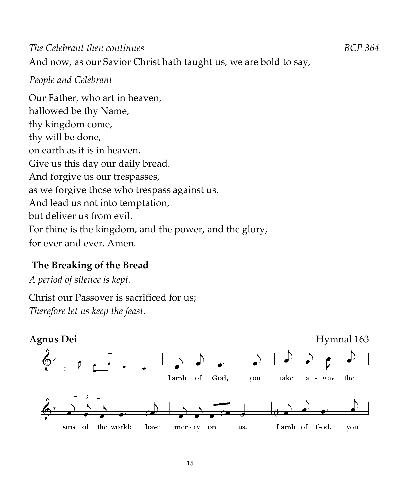*The Celebrant then continues BCP 364*  And now, as our Savior Christ hath taught us, we are bold to say,

#### *People and Celebrant*

Our Father, who art in heaven, hallowed be thy Name, thy kingdom come, thy will be done, on earth as it is in heaven. Give us this day our daily bread. And forgive us our trespasses, as we forgive those who trespass against us. And lead us not into temptation, but deliver us from evil. For thine is the kingdom, and the power, and the glory, for ever and ever. Amen.

# **The Breaking of the Bread**

*A period of silence is kept.* 

Christ our Passover is sacrificed for us; *Therefore let us keep the feast.* 

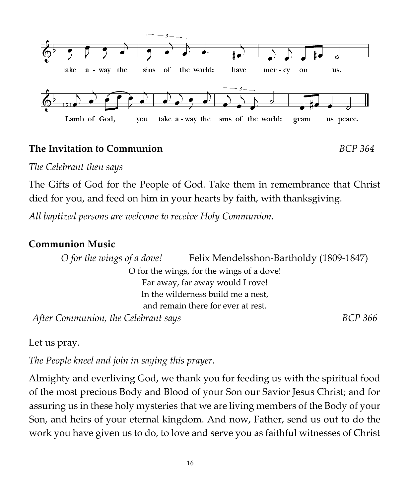

#### **The Invitation to Communion** *BCP 364*

*The Celebrant then says* 

The Gifts of God for the People of God. Take them in remembrance that Christ died for you, and feed on him in your hearts by faith, with thanksgiving.

*All baptized persons are welcome to receive Holy Communion.* 

#### **Communion Music**

*O for the wings of a dove!* Felix Mendelsshon-Bartholdy (1809-1847) O for the wings, for the wings of a dove! Far away, far away would I rove! In the wilderness build me a nest, and remain there for ever at rest. After Communion, the Celebrant says **BCP** 366 **BCP** 366

Let us pray.

*The People kneel and join in saying this prayer.*

Almighty and everliving God, we thank you for feeding us with the spiritual food of the most precious Body and Blood of your Son our Savior Jesus Christ; and for assuring us in these holy mysteries that we are living members of the Body of your Son, and heirs of your eternal kingdom. And now, Father, send us out to do the work you have given us to do, to love and serve you as faithful witnesses of Christ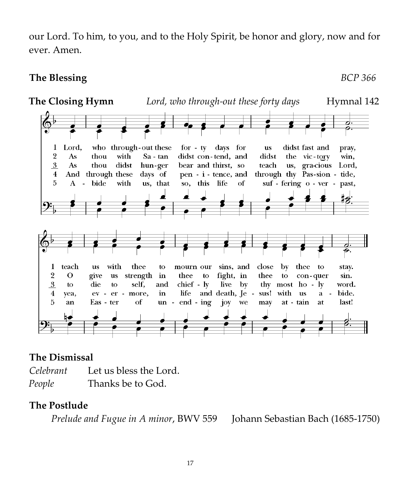our Lord. To him, to you, and to the Holy Spirit, be honor and glory, now and for ever. Amen.

#### **The Blessing** *BCP 366*



### **The Dismissal**

| Celebrant | Let us bless the Lord. |
|-----------|------------------------|
| People    | Thanks be to God.      |

### **The Postlude**

 *Prelude and Fugue in A minor*, BWV 559 Johann Sebastian Bach (1685-1750)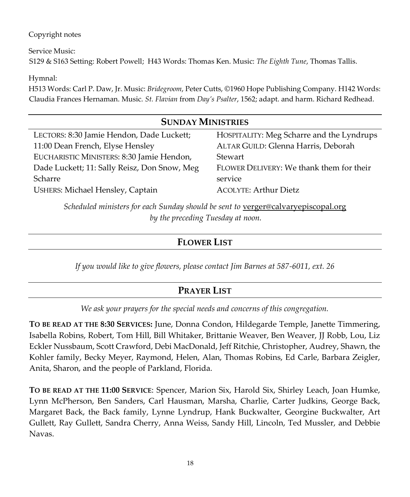#### Copyright notes

Service Music: S129 & S163 Setting: Robert Powell; H43 Words: Thomas Ken. Music: *The Eighth Tune*, Thomas Tallis.

Hymnal:

H513 Words: Carl P. Daw, Jr. Music: *Bridegroom*, Peter Cutts, ©1960 Hope Publishing Company. H142 Words: Claudia Frances Hernaman. Music. *St. Flavian* from *Day's Psalter*, 1562; adapt. and harm. Richard Redhead.

#### **SUNDAY MINISTRIES** LECTORS: 8:30 Jamie Hendon, Dade Luckett; 11:00 Dean French, Elyse Hensley EUCHARISTIC MINISTERS: 8:30 Jamie Hendon, Dade Luckett; 11: Sally Reisz, Don Snow, Meg Scharre USHERS: Michael Hensley, Captain HOSPITALITY: Meg Scharre and the Lyndrups ALTAR GUILD: Glenna Harris, Deborah Stewart FLOWER DELIVERY: We thank them for their service ACOLYTE: Arthur Dietz

*Scheduled ministers for each Sunday should be sent to* <u>[verger@calvaryepiscopal.org](mailto:verger@calvaryepiscopal.org)</u> *by the preceding Tuesday at noon.*

#### **FLOWER LIST**

*If you would like to give flowers, please contact Jim Barnes at 587-6011, ext. 26*

### **PRAYER LIST**

*We ask your prayers for the special needs and concerns of this congregation.*

**TO BE READ AT THE 8:30 SERVICES:** June, Donna Condon, Hildegarde Temple, Janette Timmering, Isabella Robins, Robert, Tom Hill, Bill Whitaker, Brittanie Weaver, Ben Weaver, JJ Robb, Lou, Liz Eckler Nussbaum, Scott Crawford, Debi MacDonald, Jeff Ritchie, Christopher, Audrey, Shawn, the Kohler family, Becky Meyer, Raymond, Helen, Alan, Thomas Robins, Ed Carle, Barbara Zeigler, Anita, Sharon, and the people of Parkland, Florida.

**TO BE READ AT THE 11:00 SERVICE**: Spencer, Marion Six, Harold Six, Shirley Leach, Joan Humke, Lynn McPherson, Ben Sanders, Carl Hausman, Marsha, Charlie, Carter Judkins, George Back, Margaret Back, the Back family, Lynne Lyndrup, Hank Buckwalter, Georgine Buckwalter, Art Gullett, Ray Gullett, Sandra Cherry, Anna Weiss, Sandy Hill, Lincoln, Ted Mussler, and Debbie Navas.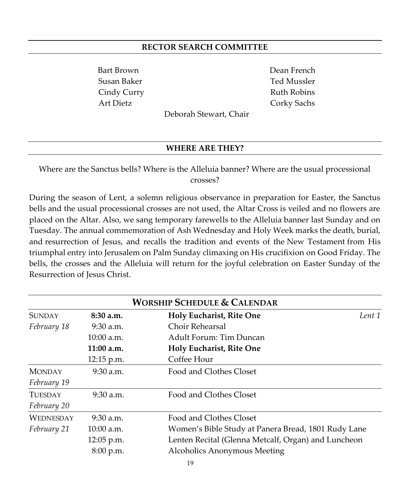#### **RECTOR SEARCH COMMITTEE**

Bart Brown Dean French Susan Baker Ted Mussler Cindy Curry Ruth Robins Art Dietz Corky Sachs

Deborah Stewart, Chair

#### **WHERE ARE THEY?**

Where are the Sanctus bells? Where is the Alleluia banner? Where are the usual processional crosses?

During the season of Lent, a solemn religious observance in preparation for Easter, the Sanctus bells and the usual processional crosses are not used, the Altar Cross is veiled and no flowers are placed on the Altar. Also, we sang temporary farewells to the Alleluia banner last Sunday and on Tuesday. The annual commemoration of Ash Wednesday and [Holy Week](https://en.wikipedia.org/wiki/Holy_Week) marks the death, burial, and [resurrection of Jesus,](https://en.wikipedia.org/wiki/Resurrection_of_Jesus) and recalls the tradition and events of the [New Testament](https://en.wikipedia.org/wiki/New_Testament) from His triumphal entry into Jerusalem on [Palm Sunday](https://en.wikipedia.org/wiki/Palm_Sunday) climaxing on His [crucifixion](https://en.wikipedia.org/wiki/Crucifixion) on [Good Friday.](https://en.wikipedia.org/wiki/Good_Friday) The bells, the crosses and the Alleluia will return for the joyful celebration on Easter Sunday of the Resurrection of Jesus Christ.

| <b>WORSHIP SCHEDULE &amp; CALENDAR</b> |              |                                                     |  |
|----------------------------------------|--------------|-----------------------------------------------------|--|
| <b>SUNDAY</b>                          | $8:30$ a.m.  | Holy Eucharist, Rite One<br>Lent 1                  |  |
| February 18                            | $9:30$ a.m.  | Choir Rehearsal                                     |  |
|                                        | $10:00$ a.m. | Adult Forum: Tim Duncan                             |  |
|                                        | 11:00 a.m.   | Holy Eucharist, Rite One                            |  |
|                                        | $12:15$ p.m. | Coffee Hour                                         |  |
| <b>MONDAY</b>                          | $9:30$ a.m.  | Food and Clothes Closet                             |  |
| February 19                            |              |                                                     |  |
| <b>TUESDAY</b>                         | $9:30$ a.m.  | Food and Clothes Closet                             |  |
| February 20                            |              |                                                     |  |
| <b>WEDNESDAY</b>                       | $9:30$ a.m.  | Food and Clothes Closet                             |  |
| February 21                            | 10:00 a.m.   | Women's Bible Study at Panera Bread, 1801 Rudy Lane |  |
|                                        | 12:05 p.m.   | Lenten Recital (Glenna Metcalf, Organ) and Luncheon |  |
|                                        | 8:00 p.m.    | Alcoholics Anonymous Meeting                        |  |
|                                        |              | 19                                                  |  |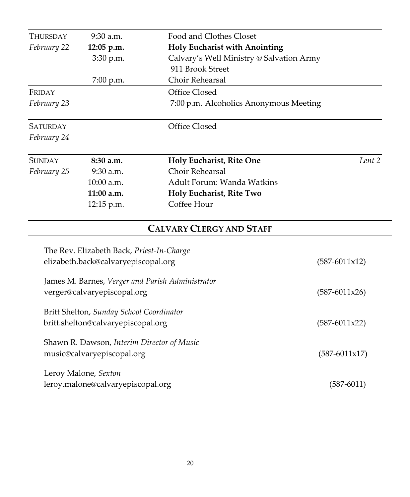| THURSDAY        | 9:30 a.m.                                  | Food and Clothes Closet                          |                          |
|-----------------|--------------------------------------------|--------------------------------------------------|--------------------------|
| February 22     | 12:05 p.m.                                 | Holy Eucharist with Anointing                    |                          |
|                 | 3:30 p.m.                                  | Calvary's Well Ministry @ Salvation Army         |                          |
|                 |                                            | 911 Brook Street                                 |                          |
|                 | 7:00 p.m.                                  | Choir Rehearsal                                  |                          |
| FRIDAY          |                                            | Office Closed                                    |                          |
| February 23     |                                            | 7:00 p.m. Alcoholics Anonymous Meeting           |                          |
| <b>SATURDAY</b> |                                            | Office Closed                                    |                          |
| February 24     |                                            |                                                  |                          |
| <b>SUNDAY</b>   | 8:30 a.m.                                  | Holy Eucharist, Rite One                         | Lent 2                   |
| February 25     | 9:30 a.m.                                  | Choir Rehearsal                                  |                          |
|                 | 10:00 a.m.                                 | Adult Forum: Wanda Watkins                       |                          |
|                 | 11:00 a.m.                                 | Holy Eucharist, Rite Two                         |                          |
|                 | 12:15 p.m.                                 | Coffee Hour                                      |                          |
|                 |                                            | <b>CALVARY CLERGY AND STAFF</b>                  |                          |
|                 | The Rev. Elizabeth Back, Priest-In-Charge  |                                                  |                          |
|                 | elizabeth.back@calvaryepiscopal.org        |                                                  | $(587-6011x12)$          |
|                 |                                            | James M. Barnes, Verger and Parish Administrator |                          |
|                 | verger@calvaryepiscopal.org                |                                                  | $(587-6011x26)$          |
|                 | Britt Shelton, Sunday School Coordinator   |                                                  |                          |
|                 | britt.shelton@calvaryepiscopal.org         |                                                  | $(587-6011x22)$          |
|                 | Shawn R. Dawson, Interim Director of Music |                                                  |                          |
|                 | music@calvaryepiscopal.org                 |                                                  | $(587 - 6011 \times 17)$ |

Leroy Malone, *Sexton* leroy.malone@calvaryepiscopal.org (587-6011)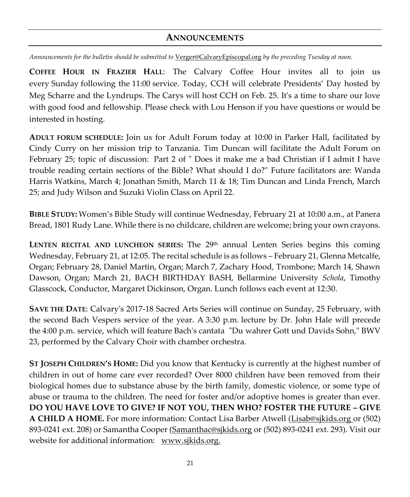#### **ANNOUNCEMENTS**

*Announcements for the bulletin should be submitted to* [Verger@CalvaryEpiscopal.org](mailto:Verger@CalvaryEpiscopal.org) *by the preceding Tuesday at noon.* 

**COFFEE HOUR IN FRAZIER HALL**: The Calvary Coffee Hour invites all to join us every Sunday following the 11:00 service. Today, CCH will celebrate Presidents' Day hosted by Meg Scharre and the Lyndrups. The Carys will host CCH on Feb. 25. It's a time to share our love with good food and fellowship. Please check with Lou Henson if you have questions or would be interested in hosting.

**ADULT FORUM SCHEDULE:** Join us for Adult Forum today at 10:00 in Parker Hall, facilitated by Cindy Curry on her mission trip to Tanzania. Tim Duncan will facilitate the Adult Forum on February 25; topic of discussion: Part 2 of " Does it make me a bad Christian if I admit I have trouble reading certain sections of the Bible? What should I do?" Future facilitators are: Wanda Harris Watkins, March 4; Jonathan Smith, March 11 & 18; Tim Duncan and Linda French, March 25; and Judy Wilson and Suzuki Violin Class on April 22.

**BIBLE STUDY:** Women's Bible Study will continue Wednesday, February 21 at 10:00 a.m., at Panera Bread, 1801 Rudy Lane. While there is no childcare, children are welcome; bring your own crayons.

**LENTEN RECITAL AND LUNCHEON SERIES:** The 29<sup>th</sup> annual Lenten Series begins this coming Wednesday, February 21, at 12:05. The recital schedule is as follows – February 21, Glenna Metcalfe, Organ; February 28, Daniel Martin, Organ; March 7, Zachary Hood, Trombone; March 14, Shawn Dawson, Organ; March 21, BACH BIRTHDAY BASH, Bellarmine University *Schola*, Timothy Glasscock, Conductor, Margaret Dickinson, Organ. Lunch follows each event at 12:30.

**SAVE THE DATE**: Calvary's 2017-18 Sacred Arts Series will continue on Sunday, 25 February, with the second Bach Vespers service of the year. A 3:30 p.m. lecture by Dr. John Hale will precede the 4:00 p.m. service, which will feature Bach's cantata "Du wahrer Gott und Davids Sohn," BWV 23, performed by the Calvary Choir with chamber orchestra.

**ST JOSEPH CHILDREN'S HOME:** Did you know that Kentucky is currently at the highest number of children in out of home care ever recorded? Over 8000 children have been removed from their biological homes due to substance abuse by the birth family, domestic violence, or some type of abuse or trauma to the children. The need for foster and/or adoptive homes is greater than ever. **DO YOU HAVE LOVE TO GIVE? IF NOT YOU, THEN WHO? FOSTER THE FUTURE – GIVE A CHILD A HOME.** For more information: Contact Lisa Barber Atwell [\(Lisab@sjkids.org](mailto:Lisab@sjkids.org) or (502) 893-0241 ext. 208) or Samantha Cooper [\(Samanthac@sjkids.org](mailto:Samanthac@sjkids.org) or (502) 893-0241 ext. 293). Visit our website for additional information: [www.sjkids.org.](http://www.sjkids.org/)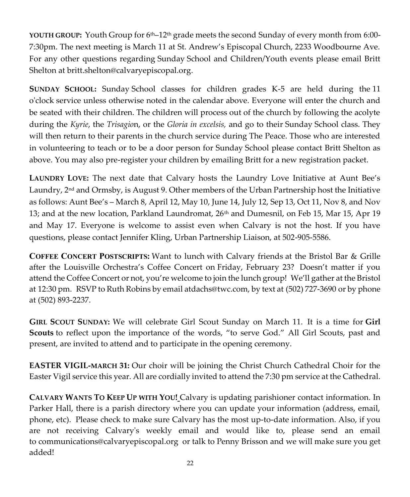**YOUTH GROUP:** Youth Group for 6th–12th grade meets the second Sunday of every month from 6:00- 7:30pm. The next meeting is March 11 at St. Andrew's Episcopal Church, 2233 Woodbourne Ave. For any other questions regarding Sunday School and Children/Youth events please email Britt Shelton at [britt.shelton@calvaryepiscopal.org.](mailto:britt.shelton@calvaryepiscopal.org)

**SUNDAY SCHOOL:** Sunday School classes for children grades K-5 are held during the 11 o'clock service unless otherwise noted in the calendar above. Everyone will enter the church and be seated with their children. The children will process out of the church by following the acolyte during the *Kyrie*, the *Trisagio*n, or the *Gloria in excelsis,* and go to their Sunday School class. They will then return to their parents in the church service during The Peace. Those who are interested in volunteering to teach or to be a door person for Sunday School please contact Britt Shelton as above. You may also pre-register your children by emailing Britt for a new registration packet.

**LAUNDRY LOVE:** The next date that Calvary hosts the Laundry Love Initiative at Aunt Bee's Laundry, 2nd and Ormsby, is August 9. Other members of the Urban Partnership host the Initiative as follows: Aunt Bee's – March 8, April 12, May 10, June 14, July 12, Sep 13, Oct 11, Nov 8, and Nov 13; and at the new location, Parkland Laundromat,  $26<sup>th</sup>$  and Dumesnil, on Feb 15, Mar 15, Apr 19 and May 17. Everyone is welcome to assist even when Calvary is not the host. If you have questions, please contact Jennifer Kling, Urban Partnership Liaison, at 502-905-5586.

COFFEE CONCERT POSTSCRIPTS**:** Want to lunch with Calvary friends at the Bristol Bar & Grille after the Louisville Orchestra's Coffee Concert on Friday, February 23? Doesn't matter if you attend the Coffee Concert or not, you're welcome to join the lunch group! We'll gather at the Bristol at 12:30 pm. RSVP to Ruth Robins by email a[tdachs@twc.com,](mailto:dachs@twc.com) by text at [\(502\) 727-3690](tel:(502)%20727-3690) or by phone at [\(502\) 893-2237.](tel:(502)%20893-2237)

**GIRL SCOUT SUNDAY:** We will celebrate Girl Scout Sunday on March 11. It is a time for **Girl Scouts** to reflect upon the importance of the words, "to serve God." All Girl Scouts, past and present, are invited to attend and to participate in the opening ceremony.

**EASTER VIGIL-MARCH 31:** Our choir will be joining the Christ Church Cathedral Choir for the Easter Vigil service this year. All are cordially invited to attend the 7:30 pm service at the Cathedral.

**CALVARY WANTS TO KEEP UP WITH YOU!** Calvary is updating parishioner contact information. In Parker Hall, there is a parish directory where you can update your information (address, email, phone, etc). Please check to make sure Calvary has the most up-to-date information. Also, if you are not receiving Calvary's weekly email and would like to, please send an email to [communications@calvaryepiscopal.org](mailto:communications@calvaryepiscopal.org) or talk to Penny Brisson and we will make sure you get added!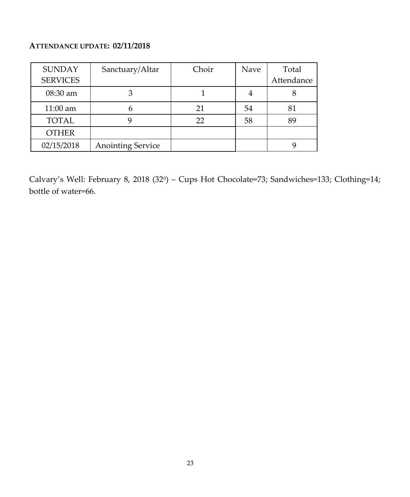#### **ATTENDANCE UPDATE: 02/11/2018**

| <b>SUNDAY</b>   | Sanctuary/Altar          | Choir | Nave | Total      |
|-----------------|--------------------------|-------|------|------------|
| <b>SERVICES</b> |                          |       |      | Attendance |
| $08:30$ am      |                          |       |      |            |
| 11:00 am        |                          | 21    | 54   | 81         |
| <b>TOTAL</b>    |                          | 22    | 58   | 89         |
| <b>OTHER</b>    |                          |       |      |            |
| 02/15/2018      | <b>Anointing Service</b> |       |      |            |

Calvary's Well: February 8, 2018 (32<sup>0</sup> ) – Cups Hot Chocolate=73; Sandwiches=133; Clothing=14; bottle of water=66.